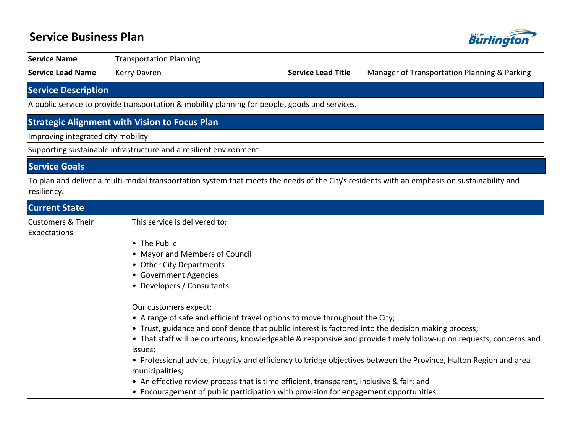## **Service Business Plan**



**Service Name** Transportation Planning

**Service Lead Name** Kerry Davren **Name Access 20 Yearts Access 20 Service Lead Title** Manager of Transportation Planning & Parking

## **Service Description**

A public service to provide transportation & mobility planning for people, goods and services.

### **Strategic Alignment with Vision to Focus Plan**

Improving integrated city mobility

Supporting sustainable infrastructure and a resilient environment

#### **Service Goals**

To plan and deliver a multi-modal transportation system that meets the needs of the City's residents with an emphasis on sustainability and resiliency.

| <b>Current State</b>                         |                                                                                                                   |  |  |  |  |
|----------------------------------------------|-------------------------------------------------------------------------------------------------------------------|--|--|--|--|
| <b>Customers &amp; Their</b><br>Expectations | This service is delivered to:                                                                                     |  |  |  |  |
|                                              | • The Public                                                                                                      |  |  |  |  |
|                                              | • Mayor and Members of Council                                                                                    |  |  |  |  |
|                                              | • Other City Departments                                                                                          |  |  |  |  |
|                                              | • Government Agencies                                                                                             |  |  |  |  |
|                                              | • Developers / Consultants                                                                                        |  |  |  |  |
|                                              |                                                                                                                   |  |  |  |  |
|                                              | Our customers expect:                                                                                             |  |  |  |  |
|                                              | • A range of safe and efficient travel options to move throughout the City;                                       |  |  |  |  |
|                                              | • Trust, guidance and confidence that public interest is factored into the decision making process;               |  |  |  |  |
|                                              | • That staff will be courteous, knowledgeable & responsive and provide timely follow-up on requests, concerns and |  |  |  |  |
|                                              | issues;                                                                                                           |  |  |  |  |
|                                              | • Professional advice, integrity and efficiency to bridge objectives between the Province, Halton Region and area |  |  |  |  |
|                                              | municipalities;                                                                                                   |  |  |  |  |
|                                              | • An effective review process that is time efficient, transparent, inclusive & fair; and                          |  |  |  |  |
|                                              | • Encouragement of public participation with provision for engagement opportunities.                              |  |  |  |  |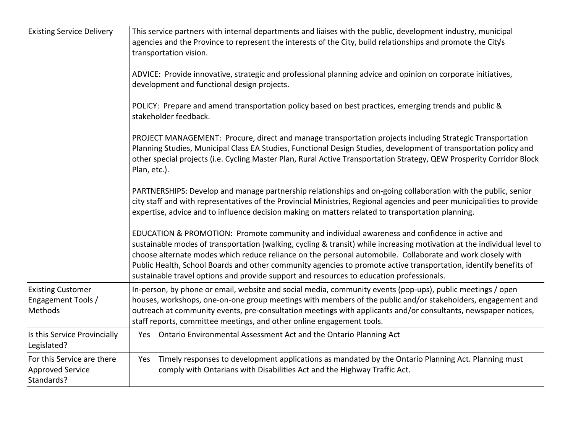| <b>Existing Service Delivery</b>                                    | This service partners with internal departments and liaises with the public, development industry, municipal<br>agencies and the Province to represent the interests of the City, build relationships and promote the City's<br>transportation vision.                                                                                                                                                                                                                                                                                                  |  |  |  |  |  |  |
|---------------------------------------------------------------------|---------------------------------------------------------------------------------------------------------------------------------------------------------------------------------------------------------------------------------------------------------------------------------------------------------------------------------------------------------------------------------------------------------------------------------------------------------------------------------------------------------------------------------------------------------|--|--|--|--|--|--|
|                                                                     | ADVICE: Provide innovative, strategic and professional planning advice and opinion on corporate initiatives,<br>development and functional design projects.                                                                                                                                                                                                                                                                                                                                                                                             |  |  |  |  |  |  |
|                                                                     | POLICY: Prepare and amend transportation policy based on best practices, emerging trends and public &<br>stakeholder feedback.                                                                                                                                                                                                                                                                                                                                                                                                                          |  |  |  |  |  |  |
|                                                                     | PROJECT MANAGEMENT: Procure, direct and manage transportation projects including Strategic Transportation<br>Planning Studies, Municipal Class EA Studies, Functional Design Studies, development of transportation policy and<br>other special projects (i.e. Cycling Master Plan, Rural Active Transportation Strategy, QEW Prosperity Corridor Block<br>Plan, etc.).                                                                                                                                                                                 |  |  |  |  |  |  |
|                                                                     | PARTNERSHIPS: Develop and manage partnership relationships and on-going collaboration with the public, senior<br>city staff and with representatives of the Provincial Ministries, Regional agencies and peer municipalities to provide<br>expertise, advice and to influence decision making on matters related to transportation planning.                                                                                                                                                                                                            |  |  |  |  |  |  |
|                                                                     | EDUCATION & PROMOTION: Promote community and individual awareness and confidence in active and<br>sustainable modes of transportation (walking, cycling & transit) while increasing motivation at the individual level to<br>choose alternate modes which reduce reliance on the personal automobile. Collaborate and work closely with<br>Public Health, School Boards and other community agencies to promote active transportation, identify benefits of<br>sustainable travel options and provide support and resources to education professionals. |  |  |  |  |  |  |
| <b>Existing Customer</b><br>Engagement Tools /<br>Methods           | In-person, by phone or email, website and social media, community events (pop-ups), public meetings / open<br>houses, workshops, one-on-one group meetings with members of the public and/or stakeholders, engagement and<br>outreach at community events, pre-consultation meetings with applicants and/or consultants, newspaper notices,<br>staff reports, committee meetings, and other online engagement tools.                                                                                                                                    |  |  |  |  |  |  |
| Is this Service Provincially<br>Legislated?                         | Yes Ontario Environmental Assessment Act and the Ontario Planning Act                                                                                                                                                                                                                                                                                                                                                                                                                                                                                   |  |  |  |  |  |  |
| For this Service are there<br><b>Approved Service</b><br>Standards? | Timely responses to development applications as mandated by the Ontario Planning Act. Planning must<br>Yes<br>comply with Ontarians with Disabilities Act and the Highway Traffic Act.                                                                                                                                                                                                                                                                                                                                                                  |  |  |  |  |  |  |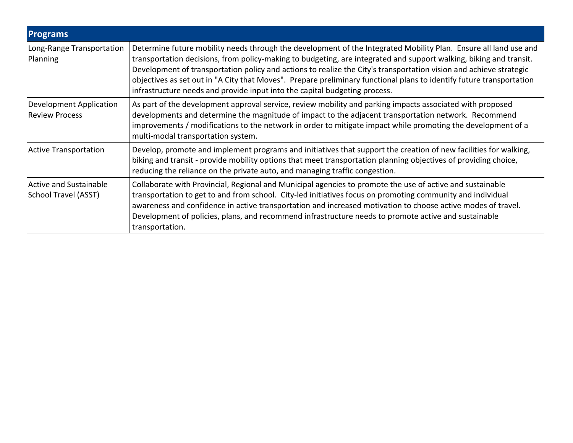| <b>Programs</b>                                  |                                                                                                                                                                                                                                                                                                                                                                                                                                                                                                                                                                    |
|--------------------------------------------------|--------------------------------------------------------------------------------------------------------------------------------------------------------------------------------------------------------------------------------------------------------------------------------------------------------------------------------------------------------------------------------------------------------------------------------------------------------------------------------------------------------------------------------------------------------------------|
| Long-Range Transportation<br>Planning            | Determine future mobility needs through the development of the Integrated Mobility Plan. Ensure all land use and<br>transportation decisions, from policy-making to budgeting, are integrated and support walking, biking and transit.<br>Development of transportation policy and actions to realize the City's transportation vision and achieve strategic<br>objectives as set out in "A City that Moves". Prepare preliminary functional plans to identify future transportation<br>infrastructure needs and provide input into the capital budgeting process. |
| Development Application<br><b>Review Process</b> | As part of the development approval service, review mobility and parking impacts associated with proposed<br>developments and determine the magnitude of impact to the adjacent transportation network. Recommend<br>improvements / modifications to the network in order to mitigate impact while promoting the development of a<br>multi-modal transportation system.                                                                                                                                                                                            |
| <b>Active Transportation</b>                     | Develop, promote and implement programs and initiatives that support the creation of new facilities for walking,<br>biking and transit - provide mobility options that meet transportation planning objectives of providing choice,<br>reducing the reliance on the private auto, and managing traffic congestion.                                                                                                                                                                                                                                                 |
| Active and Sustainable<br>School Travel (ASST)   | Collaborate with Provincial, Regional and Municipal agencies to promote the use of active and sustainable<br>transportation to get to and from school. City-led initiatives focus on promoting community and individual<br>awareness and confidence in active transportation and increased motivation to choose active modes of travel.<br>Development of policies, plans, and recommend infrastructure needs to promote active and sustainable<br>transportation.                                                                                                 |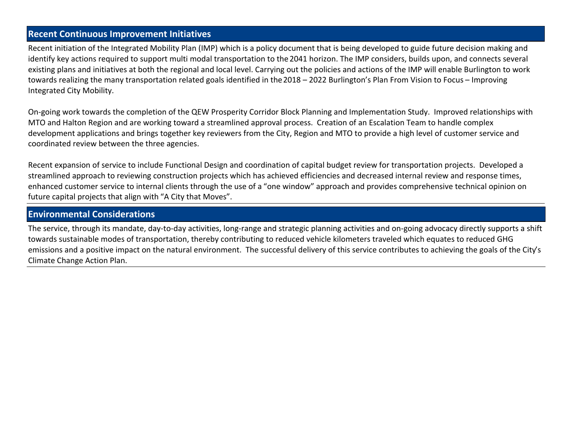### **Recent Continuous Improvement Initiatives**

Recent initiation of the Integrated Mobility Plan (IMP) which is a policy document that is being developed to guide future decision making and identify key actions required to support multi modal transportation to the 2041 horizon. The IMP considers, builds upon, and connects several existing plans and initiatives at both the regional and local level. Carrying out the policies and actions of the IMP will enable Burlington to work towards realizing the many transportation related goals identified in the 2018 - 2022 Burlington's Plan From Vision to Focus - Improving Integrated City Mobility.

On-going work towards the completion of the QEW Prosperity Corridor Block Planning and Implementation Study. Improved relationships with MTO and Halton Region and are working toward a streamlined approval process. Creation of an Escalation Team to handle complex development applications and brings together key reviewers from the City, Region and MTO to provide a high level of customer service and coordinated review between the three agencies.

Recent expansion of service to include Functional Design and coordination of capital budget review for transportation projects. Developed a streamlined approach to reviewing construction projects which has achieved efficiencies and decreased internal review and response times, enhanced customer service to internal clients through the use of a "one window" approach and provides comprehensive technical opinion on future capital projects that align with "A City that Moves".

#### **Environmental Considerations**

The service, through its mandate, day-to-day activities, long-range and strategic planning activities and on-going advocacy directly supports a shift towards sustainable modes of transportation, thereby contributing to reduced vehicle kilometers traveled which equates to reduced GHG emissions and a positive impact on the natural environment. The successful delivery of this service contributes to achieving the goals of the City's Climate Change Action Plan.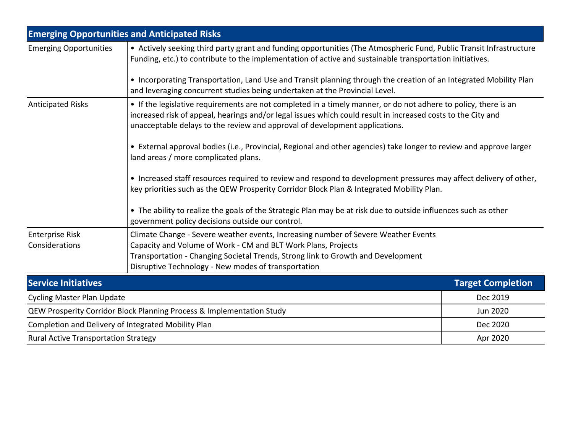|                                                     | <b>Emerging Opportunities and Anticipated Risks</b>                                                                                                                                                                                                                                                            |                          |  |  |  |  |  |
|-----------------------------------------------------|----------------------------------------------------------------------------------------------------------------------------------------------------------------------------------------------------------------------------------------------------------------------------------------------------------------|--------------------------|--|--|--|--|--|
| <b>Emerging Opportunities</b>                       | • Actively seeking third party grant and funding opportunities (The Atmospheric Fund, Public Transit Infrastructure<br>Funding, etc.) to contribute to the implementation of active and sustainable transportation initiatives.                                                                                |                          |  |  |  |  |  |
|                                                     | • Incorporating Transportation, Land Use and Transit planning through the creation of an Integrated Mobility Plan<br>and leveraging concurrent studies being undertaken at the Provincial Level.                                                                                                               |                          |  |  |  |  |  |
| <b>Anticipated Risks</b>                            | • If the legislative requirements are not completed in a timely manner, or do not adhere to policy, there is an<br>increased risk of appeal, hearings and/or legal issues which could result in increased costs to the City and<br>unacceptable delays to the review and approval of development applications. |                          |  |  |  |  |  |
|                                                     | • External approval bodies (i.e., Provincial, Regional and other agencies) take longer to review and approve larger<br>land areas / more complicated plans.                                                                                                                                                    |                          |  |  |  |  |  |
|                                                     | • Increased staff resources required to review and respond to development pressures may affect delivery of other,<br>key priorities such as the QEW Prosperity Corridor Block Plan & Integrated Mobility Plan.                                                                                                 |                          |  |  |  |  |  |
|                                                     | • The ability to realize the goals of the Strategic Plan may be at risk due to outside influences such as other<br>government policy decisions outside our control.                                                                                                                                            |                          |  |  |  |  |  |
| <b>Enterprise Risk</b><br>Considerations            | Climate Change - Severe weather events, Increasing number of Severe Weather Events<br>Capacity and Volume of Work - CM and BLT Work Plans, Projects<br>Transportation - Changing Societal Trends, Strong link to Growth and Development<br>Disruptive Technology - New modes of transportation                 |                          |  |  |  |  |  |
| <b>Service Initiatives</b>                          |                                                                                                                                                                                                                                                                                                                | <b>Target Completion</b> |  |  |  |  |  |
| <b>Cycling Master Plan Update</b>                   |                                                                                                                                                                                                                                                                                                                | Dec 2019                 |  |  |  |  |  |
|                                                     | QEW Prosperity Corridor Block Planning Process & Implementation Study                                                                                                                                                                                                                                          | Jun 2020                 |  |  |  |  |  |
| Completion and Delivery of Integrated Mobility Plan | Dec 2020                                                                                                                                                                                                                                                                                                       |                          |  |  |  |  |  |
| <b>Rural Active Transportation Strategy</b>         | Apr 2020                                                                                                                                                                                                                                                                                                       |                          |  |  |  |  |  |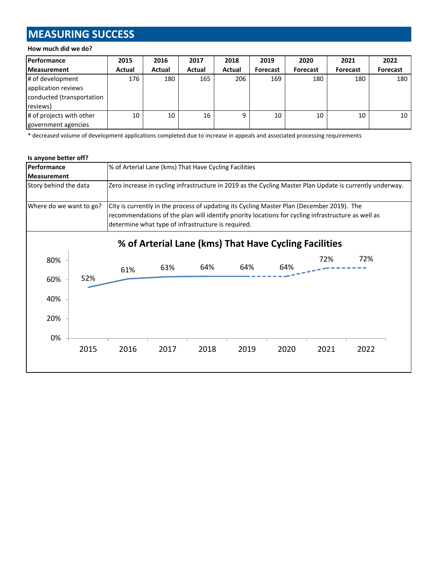# **MEASURING SUCCESS**

#### **How much did we do?**

| Performance                                                  | 2015   | 2016          | 2017   | 2018          | 2019     | 2020     | 2021            | 2022            |
|--------------------------------------------------------------|--------|---------------|--------|---------------|----------|----------|-----------------|-----------------|
| <b>Measurement</b>                                           | Actual | <b>Actual</b> | Actual | <b>Actual</b> | Forecast | Forecast | <b>Forecast</b> | <b>Forecast</b> |
| # of development                                             | 176    | 180           | 165    | 206           | 169      | 180      | 180             | 180             |
| application reviews<br>conducted (transportation<br>reviews) |        |               |        |               |          |          |                 |                 |
| # of projects with other<br>government agencies              | 10     | 10            | 16     | 9             | 10       | 10       | 10              | 10              |

\* decreased volume of development applications completed due to increase in appeals and associated processing requirements

#### **Is anyone better off?**

| Performance             |      | % of Arterial Lane (kms) That Have Cycling Facilities                                                                                                                                                                                                 |                                                                                                          |                                                       |      |      |      |      |  |
|-------------------------|------|-------------------------------------------------------------------------------------------------------------------------------------------------------------------------------------------------------------------------------------------------------|----------------------------------------------------------------------------------------------------------|-------------------------------------------------------|------|------|------|------|--|
| <b>Measurement</b>      |      |                                                                                                                                                                                                                                                       |                                                                                                          |                                                       |      |      |      |      |  |
| Story behind the data   |      |                                                                                                                                                                                                                                                       | Zero increase in cycling infrastructure in 2019 as the Cycling Master Plan Update is currently underway. |                                                       |      |      |      |      |  |
| Where do we want to go? |      | City is currently in the process of updating its Cycling Master Plan (December 2019). The<br>recommendations of the plan will identify priority locations for cycling infrastructure as well as<br>determine what type of infrastructure is required. |                                                                                                          |                                                       |      |      |      |      |  |
|                         |      |                                                                                                                                                                                                                                                       |                                                                                                          | % of Arterial Lane (kms) That Have Cycling Facilities |      |      |      |      |  |
| 80%                     |      | 61%                                                                                                                                                                                                                                                   | 63%                                                                                                      | 64%                                                   | 64%  | 64%  | 72%  | 72%  |  |
| 60%                     | 52%  |                                                                                                                                                                                                                                                       |                                                                                                          |                                                       |      |      |      |      |  |
| 40%                     |      |                                                                                                                                                                                                                                                       |                                                                                                          |                                                       |      |      |      |      |  |
| 20%                     |      |                                                                                                                                                                                                                                                       |                                                                                                          |                                                       |      |      |      |      |  |
| 0%                      |      |                                                                                                                                                                                                                                                       |                                                                                                          |                                                       |      |      |      |      |  |
|                         | 2015 | 2016                                                                                                                                                                                                                                                  | 2017                                                                                                     | 2018                                                  | 2019 | 2020 | 2021 | 2022 |  |